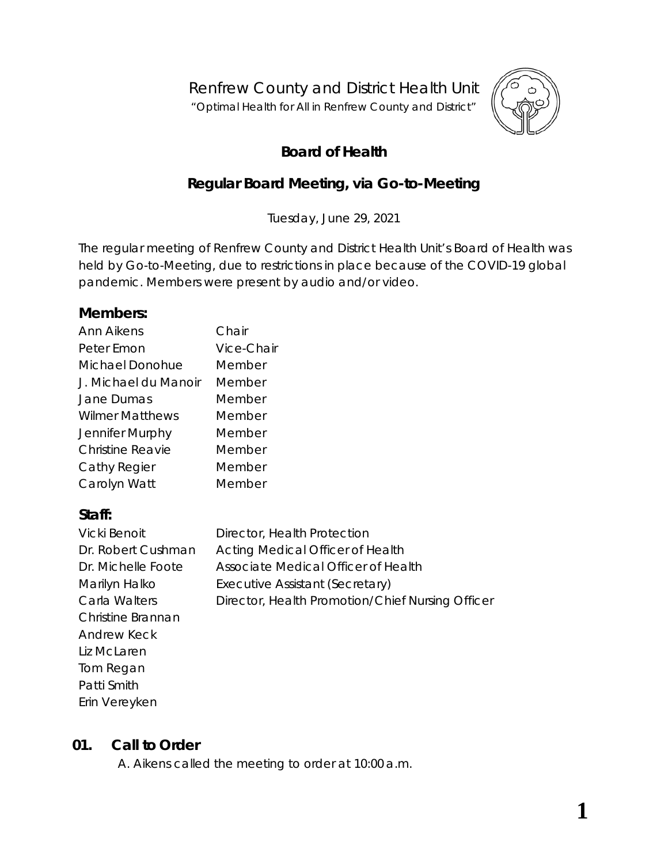Renfrew County and District Health Unit

"*Optimal Health for All in Renfrew County and District"*



# **Board of Health**

# **Regular Board Meeting, via** *Go-to-Meeting*

Tuesday, June 29, 2021

The regular meeting of Renfrew County and District Health Unit's Board of Health was held by *Go-to-Meeting,* due to restrictions in place because of the COVID-19 global pandemic. Members were present by audio and/or video.

#### **Members:**

| Ann Aikens             | Chair      |
|------------------------|------------|
| Peter Emon             | Vice-Chair |
| Michael Donohue        | Member     |
| J. Michael du Manoir   | Member     |
| Jane Dumas             | Member     |
| <b>Wilmer Matthews</b> | Member     |
| Jennifer Murphy        | Member     |
| Christine Reavie       | Member     |
| Cathy Regier           | Member     |
| Carolyn Watt           | Member     |

## **Staff:**

| Vicki Benoit       | Director, Health Protection                      |
|--------------------|--------------------------------------------------|
| Dr. Robert Cushman | Acting Medical Officer of Health                 |
| Dr. Michelle Foote | Associate Medical Officer of Health              |
| Marilyn Halko      | Executive Assistant (Secretary)                  |
| Carla Walters      | Director, Health Promotion/Chief Nursing Officer |
| Christine Brannan  |                                                  |
| Andrew Keck        |                                                  |
| Liz McLaren        |                                                  |
| Tom Regan          |                                                  |
| Patti Smith        |                                                  |
| Erin Vereyken      |                                                  |

## **01. Call to Order**

A. Aikens called the meeting to order at 10:00 a.m.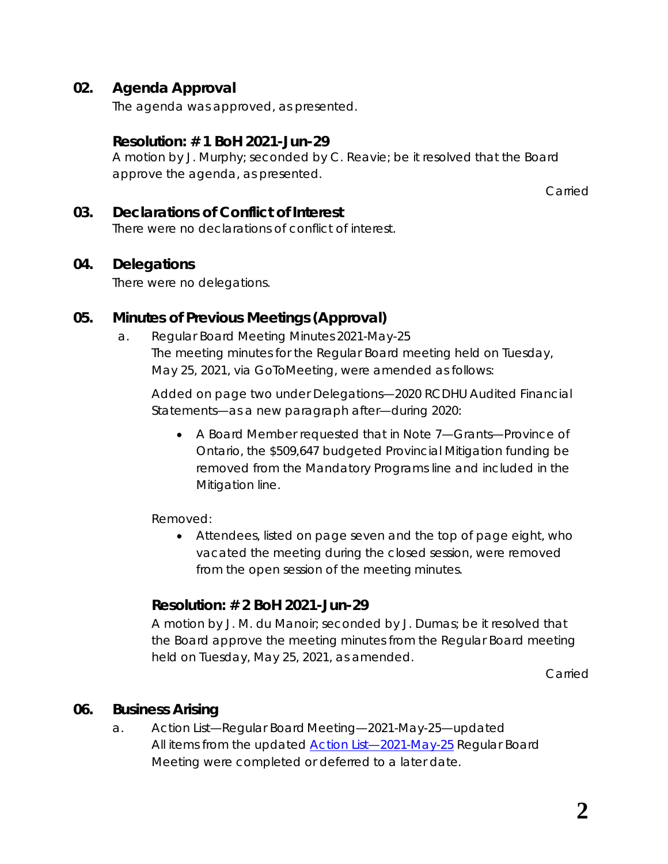## **02. Agenda Approval**

The agenda was approved, as presented.

### **Resolution: # 1 BoH 2021-Jun-29**

A motion by J. Murphy; seconded by C. Reavie; be it resolved that the Board approve the agenda, as presented.

Carried

## **03. Declarations of Conflict of Interest**

There were no declarations of conflict of interest.

### **04. Delegations**

There were no delegations.

## **05. Minutes of Previous Meetings (Approval)**

a. Regular Board Meeting Minutes 2021-May-25 The meeting minutes for the Regular Board meeting held on Tuesday, May 25, 2021, via *GoToMeeting*, were amended as follows:

Added on page two under Delegations—*2020 RCDHU Audited Financial Statements*—as a new paragraph after—*during 2020*:

• A Board Member requested that in Note 7—Grants—Province of Ontario, the \$509,647 budgeted Provincial Mitigation funding be removed from the Mandatory Programs line and included in the Mitigation line.

Removed:

• Attendees, listed on page seven and the top of page eight, who vacated the meeting during the closed session, were removed from the open session of the meeting minutes.

## **Resolution: # 2 BoH 2021-Jun-29**

A motion by J. M. du Manoir; seconded by J. Dumas; be it resolved that the Board approve the meeting minutes from the Regular Board meeting held on Tuesday, May 25, 2021, as amended.

Carried

## **06. Business Arising**

a. Action List—Regular Board Meeting—2021-May-25—updated All items from the updated **Action List-2021-May-25 Regular Board** Meeting were completed or deferred to a later date.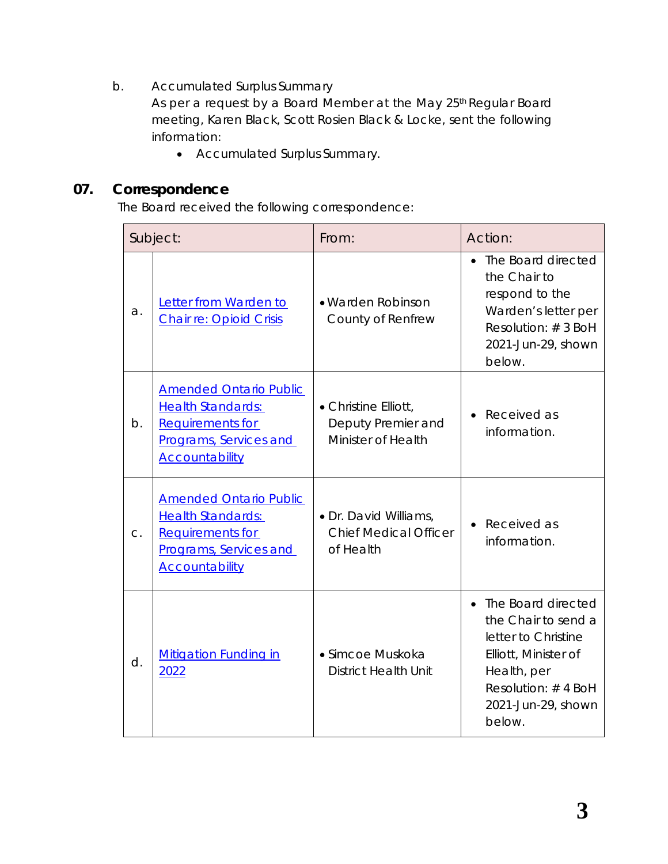b. Accumulated Surplus Summary

As per a request by a Board Member at the May 25<sup>th</sup> Regular Board meeting, Karen Black, Scott Rosien Black & Locke, sent the following information:

• Accumulated Surplus Summary.

# **07. Correspondence**

The Board received the following correspondence:

|    | Subject:                                                                                                                                | From:                                                              | Action:                                                                                                                                                       |
|----|-----------------------------------------------------------------------------------------------------------------------------------------|--------------------------------------------------------------------|---------------------------------------------------------------------------------------------------------------------------------------------------------------|
| a. | Letter from Warden to<br><b>Chair re: Opioid Crisis</b>                                                                                 | · Warden Robinson<br>County of Renfrew                             | • The Board directed<br>the Chair to<br>respond to the<br>Warden's letter per<br>Resolution: #3 BoH<br>2021-Jun-29, shown<br>below.                           |
| b. | <b>Amended Ontario Public</b><br><b>Health Standards:</b><br><b>Requirements for</b><br>Programs, Services and<br><b>Accountability</b> | • Christine Elliott,<br>Deputy Premier and<br>Minister of Health   | Received as<br>information.                                                                                                                                   |
| C. | <b>Amended Ontario Public</b><br><b>Health Standards:</b><br><b>Requirements for</b><br>Programs, Services and<br><b>Accountability</b> | • Dr. David Williams,<br><b>Chief Medical Officer</b><br>of Health | Received as<br>information.                                                                                                                                   |
| d. | <b>Mitigation Funding in</b><br>2022                                                                                                    | • Simcoe Muskoka<br><b>District Health Unit</b>                    | The Board directed<br>the Chair to send a<br>letter to Christine<br>Elliott, Minister of<br>Health, per<br>Resolution: #4 BoH<br>2021-Jun-29, shown<br>below. |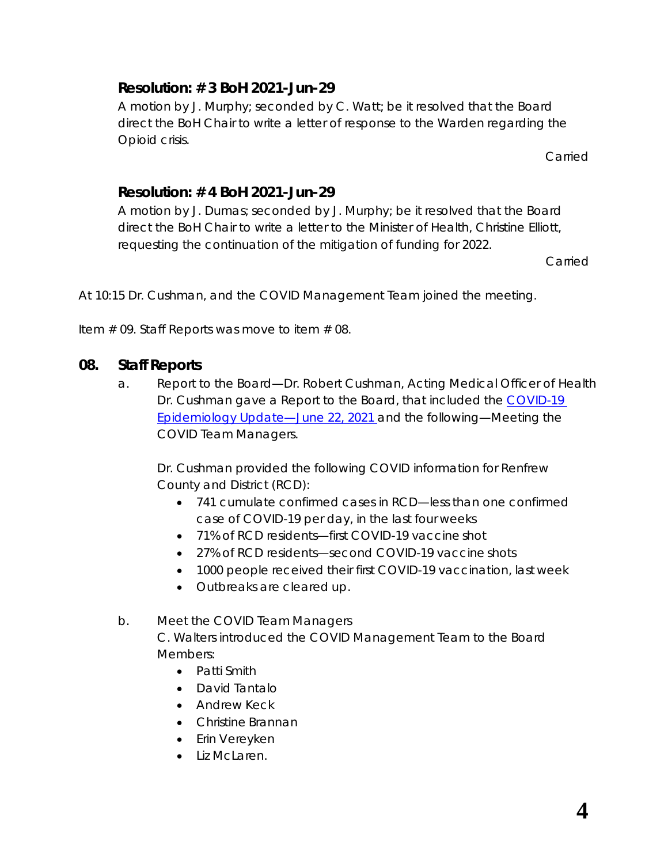## **Resolution: # 3 BoH 2021-Jun-29**

A motion by J. Murphy; seconded by C. Watt; be it resolved that the Board direct the BoH Chair to write a letter of response to the Warden regarding the Opioid crisis.

Carried

### **Resolution: # 4 BoH 2021-Jun-29**

A motion by J. Dumas; seconded by J. Murphy; be it resolved that the Board direct the BoH Chair to write a letter to the Minister of Health, Christine Elliott, requesting the continuation of the mitigation of funding for 2022.

Carried

At 10:15 Dr. Cushman, and the COVID Management Team joined the meeting.

Item  $#$  09. Staff Reports was move to item  $#$  08.

### **08. Staff Reports**

a. Report to the Board—Dr. Robert Cushman, Acting Medical Officer of Health Dr. Cushman gave a Report to the Board, that included the *[COVID-19](https://www.rcdhu.com/wp-content/uploads/2021/09/09.-a.-COVID-19-RCDHU-Epidemiology-Update-2021-06-22.pdf)  [Epidemiology Update—June 22, 2021](https://www.rcdhu.com/wp-content/uploads/2021/09/09.-a.-COVID-19-RCDHU-Epidemiology-Update-2021-06-22.pdf)* and the following—Meeting the COVID Team Managers.

Dr. Cushman provided the following COVID information for Renfrew County and District (RCD):

- 741 cumulate confirmed cases in RCD—less than one confirmed case of COVID-19 per day, in the last four weeks
- 71% of RCD residents—first COVID-19 vaccine shot
- 27% of RCD residents—second COVID-19 vaccine shots
- 1000 people received their first COVID-19 vaccination, last week
- Outbreaks are cleared up.
- b. Meet the COVID Team Managers C. Walters introduced the COVID Management Team to the Board Members:
	- Patti Smith
	- David Tantalo
	- Andrew Keck
	- Christine Brannan
	- Erin Vereyken
	- Liz McLaren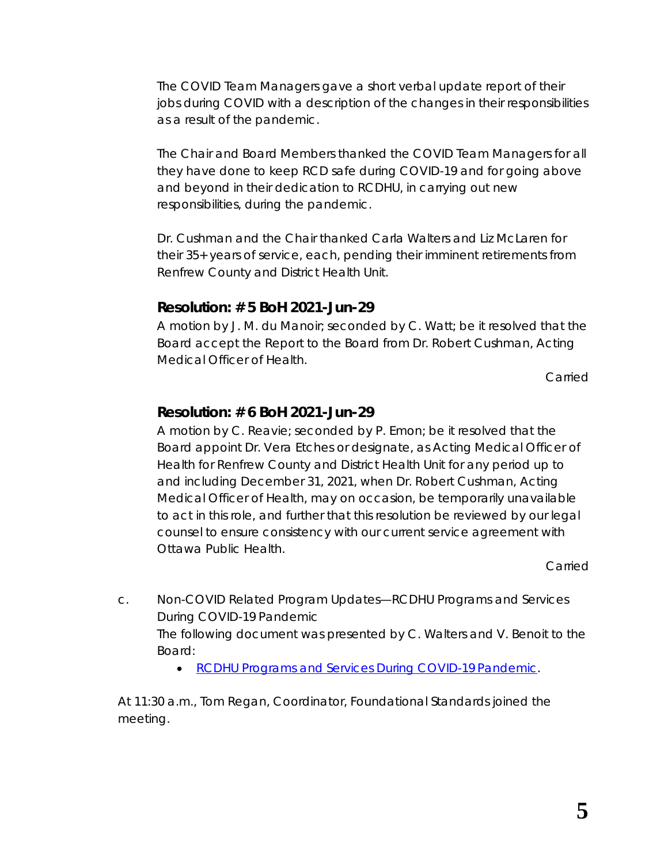The COVID Team Managers gave a short verbal update report of their jobs during COVID with a description of the changes in their responsibilities as a result of the pandemic.

The Chair and Board Members thanked the COVID Team Managers for all they have done to keep RCD safe during COVID-19 and for going above and beyond in their dedication to RCDHU, in carrying out new responsibilities, during the pandemic.

Dr. Cushman and the Chair thanked Carla Walters and Liz McLaren for their 35+ years of service, each, pending their imminent retirements from Renfrew County and District Health Unit.

#### **Resolution: # 5 BoH 2021-Jun-29**

A motion by J. M. du Manoir; seconded by C. Watt; be it resolved that the Board accept the Report to the Board from Dr. Robert Cushman, Acting Medical Officer of Health.

Carried

#### **Resolution: # 6 BoH 2021-Jun-29**

A motion by C. Reavie; seconded by P. Emon; be it resolved that the Board appoint Dr. Vera Etches or designate, as Acting Medical Officer of Health for Renfrew County and District Health Unit for any period up to and including December 31, 2021, when Dr. Robert Cushman, Acting Medical Officer of Health, may on occasion, be temporarily unavailable to act in this role, and further that this resolution be reviewed by our legal counsel to ensure consistency with our current service agreement with Ottawa Public Health.

Carried

- c. Non-COVID Related Program Updates—RCDHU Programs and Services During COVID-19 Pandemic The following document was presented by C. Walters and V. Benoit to the Board:
	- *[RCDHU Programs and Services During COVID-19](https://www.rcdhu.com/wp-content/uploads/2021/09/09.-c.-Non-COVID-Related-Program-Updates-RCDHU-Programs-and-Services-During-COVID-19-Pandemic.pdf) Pandemic*.

At 11:30 a.m., Tom Regan, Coordinator, Foundational Standards joined the meeting.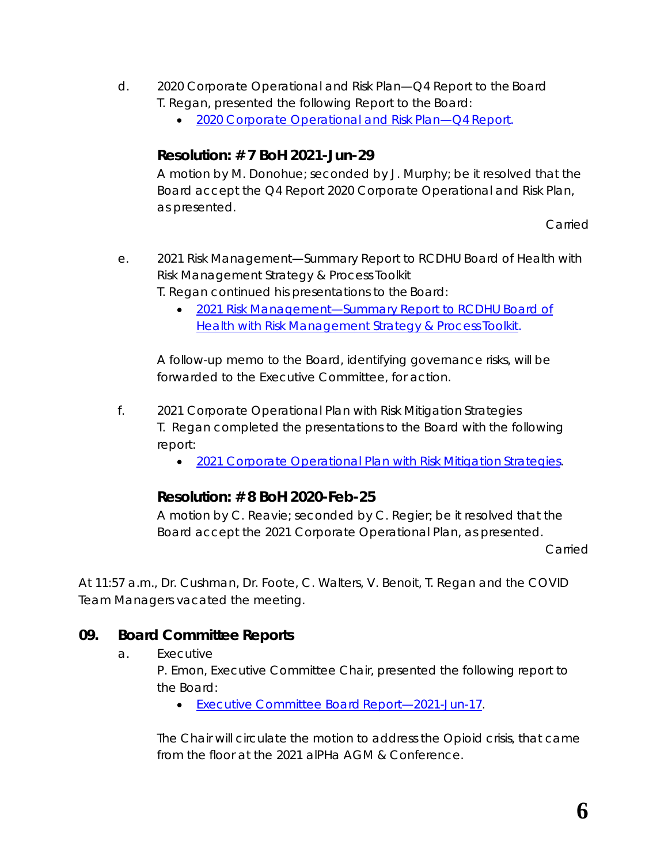- d. 2020 Corporate Operational and Risk Plan—Q4 Report to the Board T. Regan, presented the following Report to the Board:
	- *[2020 Corporate Operational and Risk Plan—Q4](https://www.rcdhu.com/wp-content/uploads/2021/09/09.-d.-2020-Corporate-Operational-Plan-Q4-Report.pdf) Report*.

### **Resolution: # 7 BoH 2021-Jun-29**

A motion by M. Donohue; seconded by J. Murphy; be it resolved that the Board accept the *Q4 Report 2020 Corporate Operational and Risk Plan*, as presented.

Carried

- e. 2021 Risk Management—Summary Report to RCDHU Board of Health with Risk Management Strategy & Process Toolkit
	- T. Regan continued his presentations to the Board:
		- *[2021 Risk Management—Summary Report to RCDHU Board of](https://www.rcdhu.com/wp-content/uploads/2021/09/09.-e.-2021-Risk-Management-Summary-Report-with-Toolkit.pdf)  [Health with Risk Management Strategy & Process](https://www.rcdhu.com/wp-content/uploads/2021/09/09.-e.-2021-Risk-Management-Summary-Report-with-Toolkit.pdf) Toolkit*.

A follow-up memo to the Board, identifying governance risks, will be forwarded to the Executive Committee, for action.

- f. 2021 Corporate Operational Plan with Risk Mitigation Strategies T. Regan completed the presentations to the Board with the following report:
	- *[2021 Corporate Operational Plan with Risk Mitigation](https://www.rcdhu.com/wp-content/uploads/2021/09/09.-f.-2021-Corporate-Operational-Plan-with-Risk-Mitigation-Strategies.pdf) Strategies*.

#### **Resolution: # 8 BoH 2020-Feb-25**

A motion by C. Reavie; seconded by C. Regier; be it resolved that the Board accept the 2021 Corporate Operational Plan, as presented.

Carried

At 11:57 a.m., Dr. Cushman, Dr. Foote, C. Walters, V. Benoit, T. Regan and the COVID Team Managers vacated the meeting.

#### **09. Board Committee Reports**

a. Executive

P. Emon, Executive Committee Chair, presented the following report to the Board:

• *[Executive Committee Board](https://www.rcdhu.com/wp-content/uploads/2021/09/08.-a.-Executive-Committee-RCDHU-Board-Report-for-2021-Jun-29-revised-with-working-hyperlinks.pdf) Report—2021-Jun-17*.

The Chair will circulate the motion to address the Opioid crisis, that came from the floor at the 2021 alPHa AGM & Conference.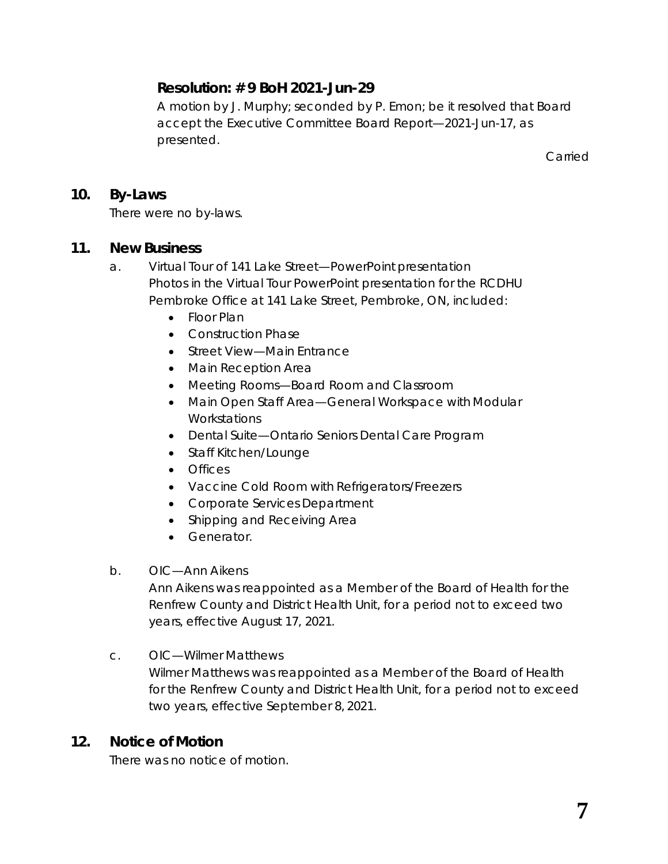## **Resolution: # 9 BoH 2021-Jun-29**

A motion by J. Murphy; seconded by P. Emon; be it resolved that Board accept the Executive Committee Board Report—2021-Jun-17, as presented.

Carried

#### **10. By-Laws**

There were no by-laws.

#### **11. New Business**

- a. Virtual Tour of 141 Lake Street—PowerPoint presentation Photos in the Virtual Tour PowerPoint presentation for the RCDHU Pembroke Office at 141 Lake Street, Pembroke, ON, included:
	- Floor Plan
	- Construction Phase
	- Street View—Main Entrance
	- Main Reception Area
	- Meeting Rooms—Board Room and Classroom
	- Main Open Staff Area—General Workspace with Modular **Workstations**
	- Dental Suite—Ontario Seniors Dental Care Program
	- Staff Kitchen/Lounge
	- Offices
	- Vaccine Cold Room with Refrigerators/Freezers
	- Corporate Services Department
	- Shipping and Receiving Area
	- Generator.

#### b. OIC—Ann Aikens

Ann Aikens was reappointed as a Member of the Board of Health for the Renfrew County and District Health Unit, for a period not to exceed two years, effective August 17, 2021.

#### c. OIC—Wilmer Matthews

Wilmer Matthews was reappointed as a Member of the Board of Health for the Renfrew County and District Health Unit, for a period not to exceed two years, effective September 8, 2021.

#### **12. Notice of Motion**

There was no notice of motion.